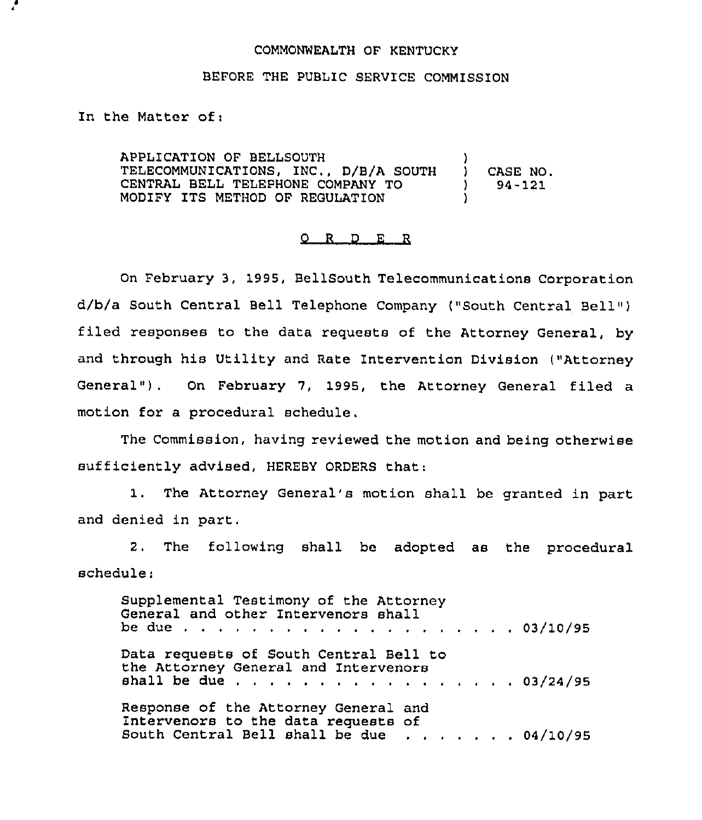## COMMONWEALTH OF KENTUCKY

## BEFORE THE PUBLIC SERVICE COMMISSION

In the Matter of:

APPLICATION OF BELLSOUTH TELECOMMUNICATIONS, INC., D/B/A SOUTH CENTRAL BELL TELEPHONE COMPANY TO MODIFY ITS METHOD OF REGULATION ) ) CASE NO. ) 94-121 )

## 0 R <sup>D</sup> E R

On February 3, 1995, BellSouth Telecommunications Corporation d/b/a South Central Bell Telephone Company ("South Central Bell" ) filed responses to the data requests of the Attorney General, by and through his Utility and Rate Intervention Division ("Attorney General"}. On February 7, 1995, the Attorney General filed a motion for a procedural schedule.

The Commission, having reviewed the motion and being otherwise sufficiently advised, HEREBY ORDERS that:

1. The Attorney General's motion shall be granted in part and denied in part.

2. The following shall be adopted as the procedural schedule.

Supplemental Testimony of the Attorney General and other Intervenors shall be due 03/10/95 Data requests of South Central Bell to the Attorney General and Intervenors shall be due  $\ldots$  . . . . . . . . . . . . . 03/24/9 Response of the Attorney General and Intervenors to the data requests of South Central Bell shall be due . . . . . . 04/10/9